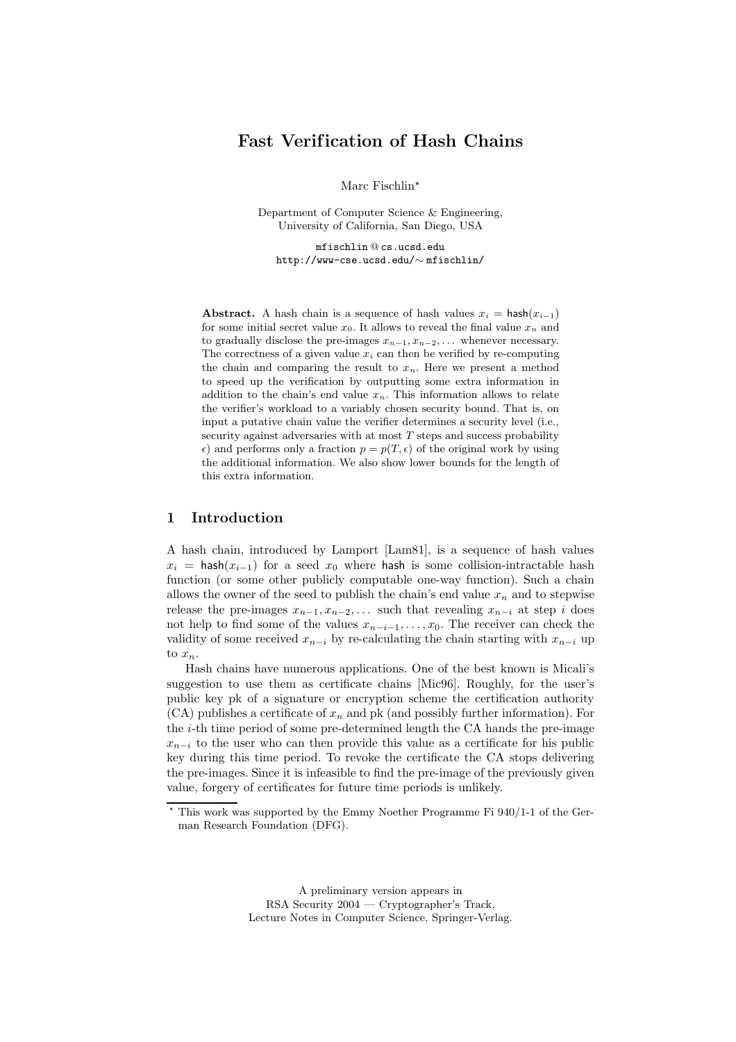# Fast Verification of Hash Chains

Marc Fischlin\*

Department of Computer Science & Engineering, University of California, San Diego, USA

mfischlin @ cs.ucsd.edu http://www-cse.ucsd.edu/∼ mfischlin/

Abstract. A hash chain is a sequence of hash values  $x_i = \text{hash}(x_{i-1})$ for some initial secret value  $x_0$ . It allows to reveal the final value  $x_n$  and to gradually disclose the pre-images  $x_{n-1}, x_{n-2}, \ldots$  whenever necessary. The correctness of a given value  $x_i$  can then be verified by re-computing the chain and comparing the result to  $x_n$ . Here we present a method to speed up the verification by outputting some extra information in addition to the chain's end value  $x_n$ . This information allows to relate the verifier's workload to a variably chosen security bound. That is, on input a putative chain value the verifier determines a security level (i.e., security against adversaries with at most  $T$  steps and success probability  $\epsilon$ ) and performs only a fraction  $p = p(T, \epsilon)$  of the original work by using the additional information. We also show lower bounds for the length of this extra information.

## 1 Introduction

A hash chain, introduced by Lamport [Lam81], is a sequence of hash values  $x_i$  = hash $(x_{i-1})$  for a seed  $x_0$  where hash is some collision-intractable hash function (or some other publicly computable one-way function). Such a chain allows the owner of the seed to publish the chain's end value  $x_n$  and to stepwise release the pre-images  $x_{n-1}, x_{n-2}, \ldots$  such that revealing  $x_{n-i}$  at step i does not help to find some of the values  $x_{n-i-1}, \ldots, x_0$ . The receiver can check the validity of some received  $x_{n-i}$  by re-calculating the chain starting with  $x_{n-i}$  up to  $x_n$ .

Hash chains have numerous applications. One of the best known is Micali's suggestion to use them as certificate chains [Mic96]. Roughly, for the user's public key pk of a signature or encryption scheme the certification authority  $(CA)$  publishes a certificate of  $x_n$  and pk (and possibly further information). For the i-th time period of some pre-determined length the CA hands the pre-image  $x_{n-i}$  to the user who can then provide this value as a certificate for his public key during this time period. To revoke the certificate the CA stops delivering the pre-images. Since it is infeasible to find the pre-image of the previously given value, forgery of certificates for future time periods is unlikely.

A preliminary version appears in RSA Security 2004 — Cryptographer's Track, Lecture Notes in Computer Science, Springer-Verlag.

 $\overline{\text{F}}$  This work was supported by the Emmy Noether Programme Fi 940/1-1 of the German Research Foundation (DFG).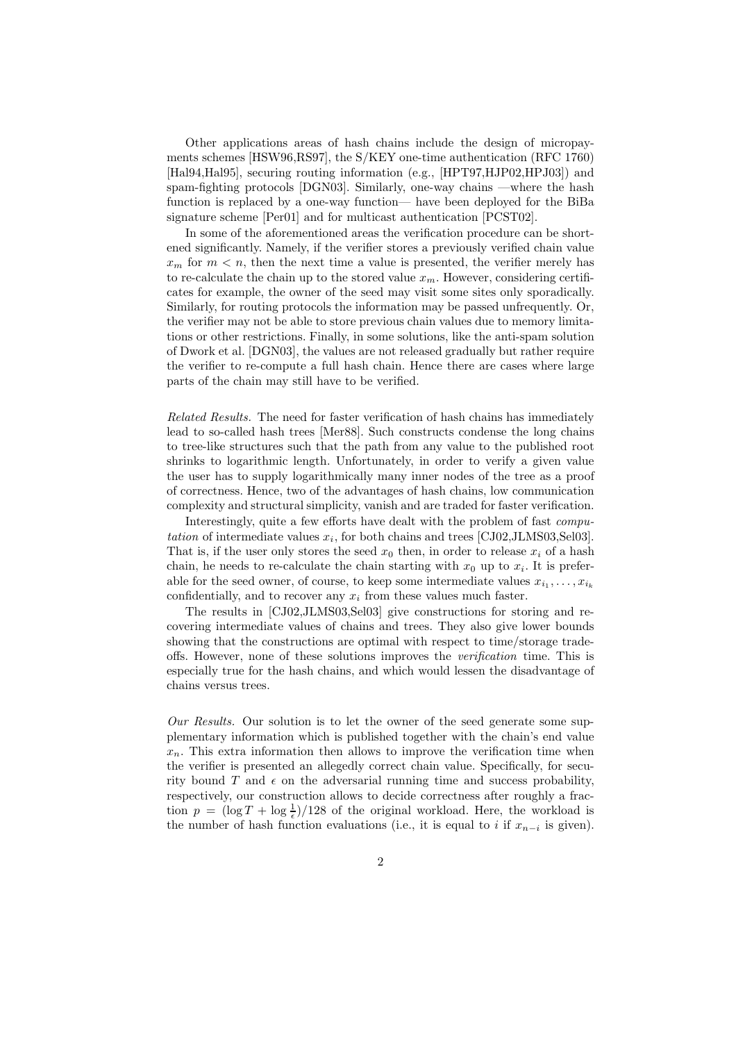Other applications areas of hash chains include the design of micropayments schemes [HSW96,RS97], the S/KEY one-time authentication (RFC 1760) [Hal94,Hal95], securing routing information (e.g., [HPT97,HJP02,HPJ03]) and spam-fighting protocols [DGN03]. Similarly, one-way chains —where the hash function is replaced by a one-way function— have been deployed for the BiBa signature scheme [Per01] and for multicast authentication [PCST02].

In some of the aforementioned areas the verification procedure can be shortened significantly. Namely, if the verifier stores a previously verified chain value  $x_m$  for  $m < n$ , then the next time a value is presented, the verifier merely has to re-calculate the chain up to the stored value  $x_m$ . However, considering certificates for example, the owner of the seed may visit some sites only sporadically. Similarly, for routing protocols the information may be passed unfrequently. Or, the verifier may not be able to store previous chain values due to memory limitations or other restrictions. Finally, in some solutions, like the anti-spam solution of Dwork et al. [DGN03], the values are not released gradually but rather require the verifier to re-compute a full hash chain. Hence there are cases where large parts of the chain may still have to be verified.

Related Results. The need for faster verification of hash chains has immediately lead to so-called hash trees [Mer88]. Such constructs condense the long chains to tree-like structures such that the path from any value to the published root shrinks to logarithmic length. Unfortunately, in order to verify a given value the user has to supply logarithmically many inner nodes of the tree as a proof of correctness. Hence, two of the advantages of hash chains, low communication complexity and structural simplicity, vanish and are traded for faster verification.

Interestingly, quite a few efforts have dealt with the problem of fast *computation* of intermediate values  $x_i$ , for both chains and trees [CJ02,JLMS03,Sel03]. That is, if the user only stores the seed  $x_0$  then, in order to release  $x_i$  of a hash chain, he needs to re-calculate the chain starting with  $x_0$  up to  $x_i$ . It is preferable for the seed owner, of course, to keep some intermediate values  $x_{i_1}, \ldots, x_{i_k}$ confidentially, and to recover any  $x_i$  from these values much faster.

The results in [CJ02,JLMS03,Sel03] give constructions for storing and recovering intermediate values of chains and trees. They also give lower bounds showing that the constructions are optimal with respect to time/storage tradeoffs. However, none of these solutions improves the verification time. This is especially true for the hash chains, and which would lessen the disadvantage of chains versus trees.

Our Results. Our solution is to let the owner of the seed generate some supplementary information which is published together with the chain's end value  $x_n$ . This extra information then allows to improve the verification time when the verifier is presented an allegedly correct chain value. Specifically, for security bound T and  $\epsilon$  on the adversarial running time and success probability, respectively, our construction allows to decide correctness after roughly a fraction  $p = (\log T + \log \frac{1}{\epsilon})/128$  of the original workload. Here, the workload is the number of hash function evaluations (i.e., it is equal to i if  $x_{n-i}$  is given).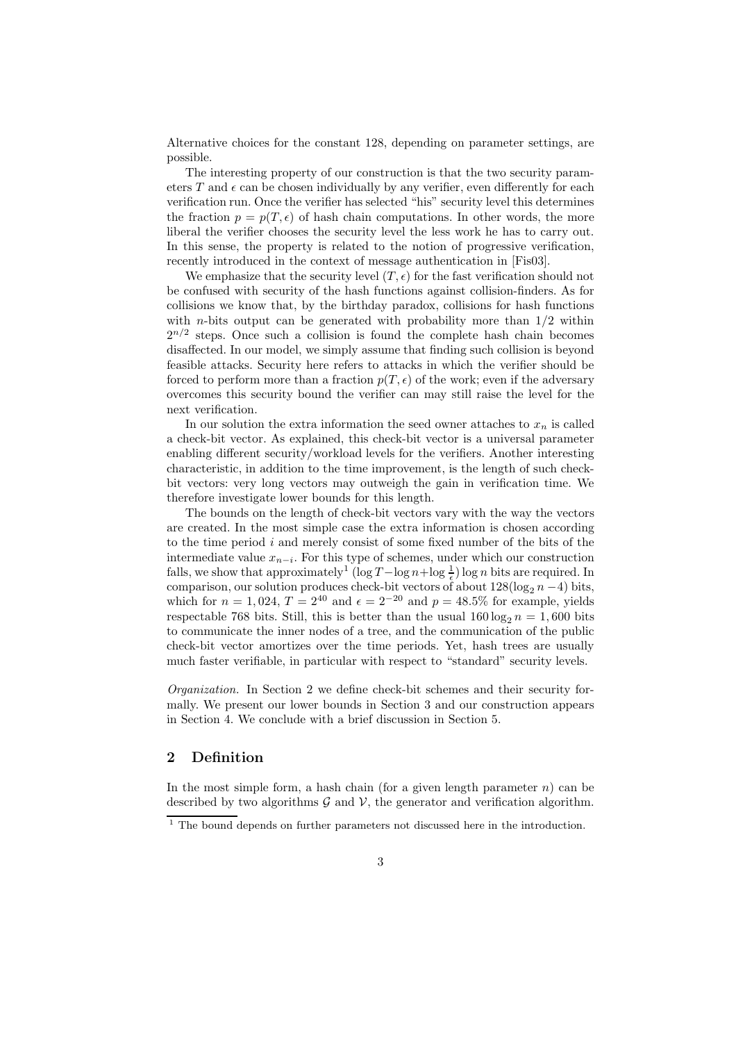Alternative choices for the constant 128, depending on parameter settings, are possible.

The interesting property of our construction is that the two security parameters T and  $\epsilon$  can be chosen individually by any verifier, even differently for each verification run. Once the verifier has selected "his" security level this determines the fraction  $p = p(T, \epsilon)$  of hash chain computations. In other words, the more liberal the verifier chooses the security level the less work he has to carry out. In this sense, the property is related to the notion of progressive verification, recently introduced in the context of message authentication in [Fis03].

We emphasize that the security level  $(T, \epsilon)$  for the fast verification should not be confused with security of the hash functions against collision-finders. As for collisions we know that, by the birthday paradox, collisions for hash functions with *n*-bits output can be generated with probability more than  $1/2$  within  $2^{n/2}$  steps. Once such a collision is found the complete hash chain becomes disaffected. In our model, we simply assume that finding such collision is beyond feasible attacks. Security here refers to attacks in which the verifier should be forced to perform more than a fraction  $p(T, \epsilon)$  of the work; even if the adversary overcomes this security bound the verifier can may still raise the level for the next verification.

In our solution the extra information the seed owner attaches to  $x_n$  is called a check-bit vector. As explained, this check-bit vector is a universal parameter enabling different security/workload levels for the verifiers. Another interesting characteristic, in addition to the time improvement, is the length of such checkbit vectors: very long vectors may outweigh the gain in verification time. We therefore investigate lower bounds for this length.

The bounds on the length of check-bit vectors vary with the way the vectors are created. In the most simple case the extra information is chosen according to the time period  $i$  and merely consist of some fixed number of the bits of the intermediate value  $x_{n-i}$ . For this type of schemes, under which our construction falls, we show that approximately<sup>1</sup> (log  $T-\log n+\log\frac{1}{\epsilon}$ ) log n bits are required. In comparison, our solution produces check-bit vectors of about  $128(\log_2 n - 4)$  bits, which for  $n = 1,024$ ,  $T = 2^{40}$  and  $\epsilon = 2^{-20}$  and  $p = 48.5\%$  for example, yields respectable 768 bits. Still, this is better than the usual  $160 \log_2 n = 1,600$  bits to communicate the inner nodes of a tree, and the communication of the public check-bit vector amortizes over the time periods. Yet, hash trees are usually much faster verifiable, in particular with respect to "standard" security levels.

Organization. In Section 2 we define check-bit schemes and their security formally. We present our lower bounds in Section 3 and our construction appears in Section 4. We conclude with a brief discussion in Section 5.

# 2 Definition

In the most simple form, a hash chain (for a given length parameter  $n$ ) can be described by two algorithms  $G$  and  $V$ , the generator and verification algorithm.

 $\frac{1}{1}$  The bound depends on further parameters not discussed here in the introduction.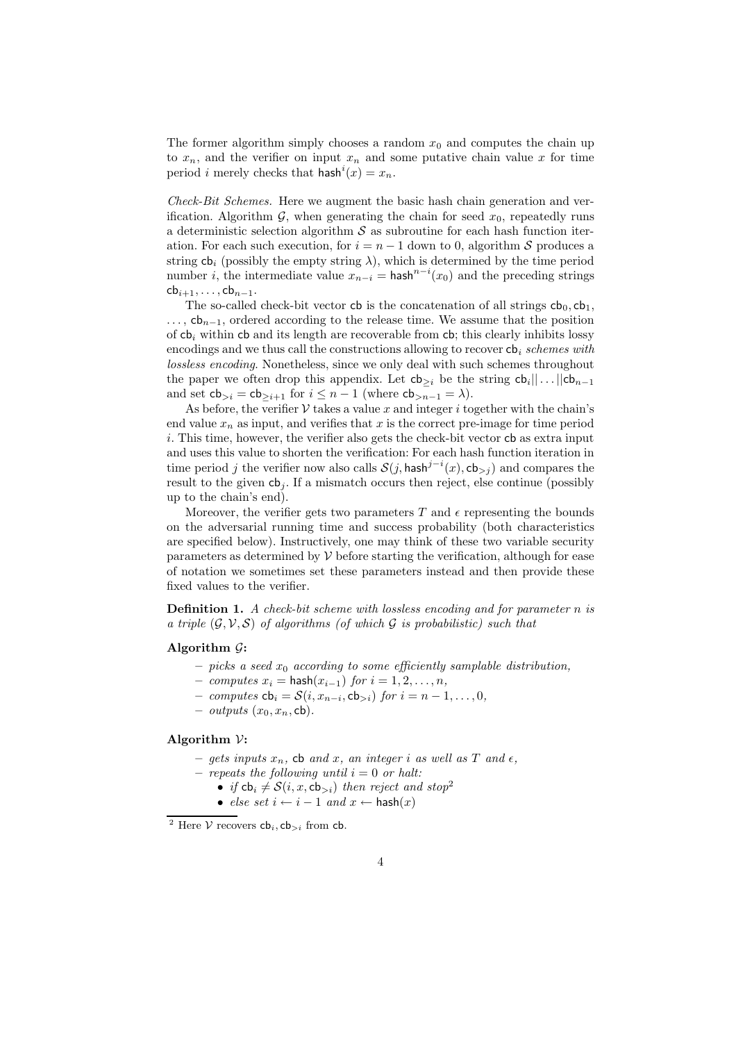The former algorithm simply chooses a random  $x_0$  and computes the chain up to  $x_n$ , and the verifier on input  $x_n$  and some putative chain value x for time period *i* merely checks that  $\text{hash}^i(x) = x_n$ .

Check-Bit Schemes. Here we augment the basic hash chain generation and verification. Algorithm  $\mathcal{G}$ , when generating the chain for seed  $x_0$ , repeatedly runs a deterministic selection algorithm  $\mathcal S$  as subroutine for each hash function iteration. For each such execution, for  $i = n - 1$  down to 0, algorithm S produces a string  $cb_i$  (possibly the empty string  $\lambda$ ), which is determined by the time period number *i*, the intermediate value  $x_{n-i}$  = hash<sup>n-i</sup>( $x_0$ ) and the preceding strings  $\mathsf{cb}_{i+1}, \ldots, \mathsf{cb}_{n-1}.$ 

The so-called check-bit vector cb is the concatenation of all strings  $cb_0$ ,  $cb_1$ ,  $\ldots$ ,  $cb_{n-1}$ , ordered according to the release time. We assume that the position of  $cb<sub>i</sub>$  within cb and its length are recoverable from cb; this clearly inhibits lossy encodings and we thus call the constructions allowing to recover  $cb<sub>i</sub>$  schemes with lossless encoding. Nonetheless, since we only deal with such schemes throughout the paper we often drop this appendix. Let  $\mathsf{cb}_{\geq i}$  be the string  $\mathsf{cb}_i||\dots||\mathsf{cb}_{n-1}$ and set  $\mathsf{cb}_{>i} = \mathsf{cb}_{>i+1}$  for  $i \leq n-1$  (where  $\mathsf{cb}_{>n-1} = \lambda$ ).

As before, the verifier  $\mathcal V$  takes a value x and integer i together with the chain's end value  $x_n$  as input, and verifies that x is the correct pre-image for time period  $i$ . This time, however, the verifier also gets the check-bit vector  $cb$  as extra input and uses this value to shorten the verification: For each hash function iteration in time period j the verifier now also calls  $\mathcal{S}(j, \mathsf{hash}^{j-i}(x), \mathsf{cb}_{>j})$  and compares the result to the given  $cb<sub>i</sub>$ . If a mismatch occurs then reject, else continue (possibly up to the chain's end).

Moreover, the verifier gets two parameters T and  $\epsilon$  representing the bounds on the adversarial running time and success probability (both characteristics are specified below). Instructively, one may think of these two variable security parameters as determined by  $\mathcal V$  before starting the verification, although for ease of notation we sometimes set these parameters instead and then provide these fixed values to the verifier.

**Definition 1.** A check-bit scheme with lossless encoding and for parameter n is a triple  $(\mathcal{G}, \mathcal{V}, \mathcal{S})$  of algorithms (of which  $\mathcal{G}$  is probabilistic) such that

#### Algorithm  $G$ :

- picks a seed  $x_0$  according to some efficiently samplable distribution,
- computes  $x_i$  = hash $(x_{i-1})$  for  $i = 1, 2, ..., n$ ,
- computes  $\mathsf{cb}_i = \mathcal{S}(i, x_{n-i}, \mathsf{cb}_{>i})$  for  $i = n-1, \ldots, 0$ ,
- *outputs*  $(x_0, x_n, cb)$ .

#### Algorithm  $\mathcal V$ :

- gets inputs  $x_n$ , cb and x, an integer i as well as T and  $\epsilon$ ,
- repeats the following until  $i = 0$  or halt:
	- if  $\mathsf{cb}_i \neq \mathcal{S}(i, x, \mathsf{cb}_{>i})$  then reject and stop<sup>2</sup>
	- else set  $i \leftarrow i 1$  and  $x \leftarrow$  hash $(x)$

<sup>&</sup>lt;sup>2</sup> Here  $V$  recovers  $cb_i, cb_{>i}$  from cb.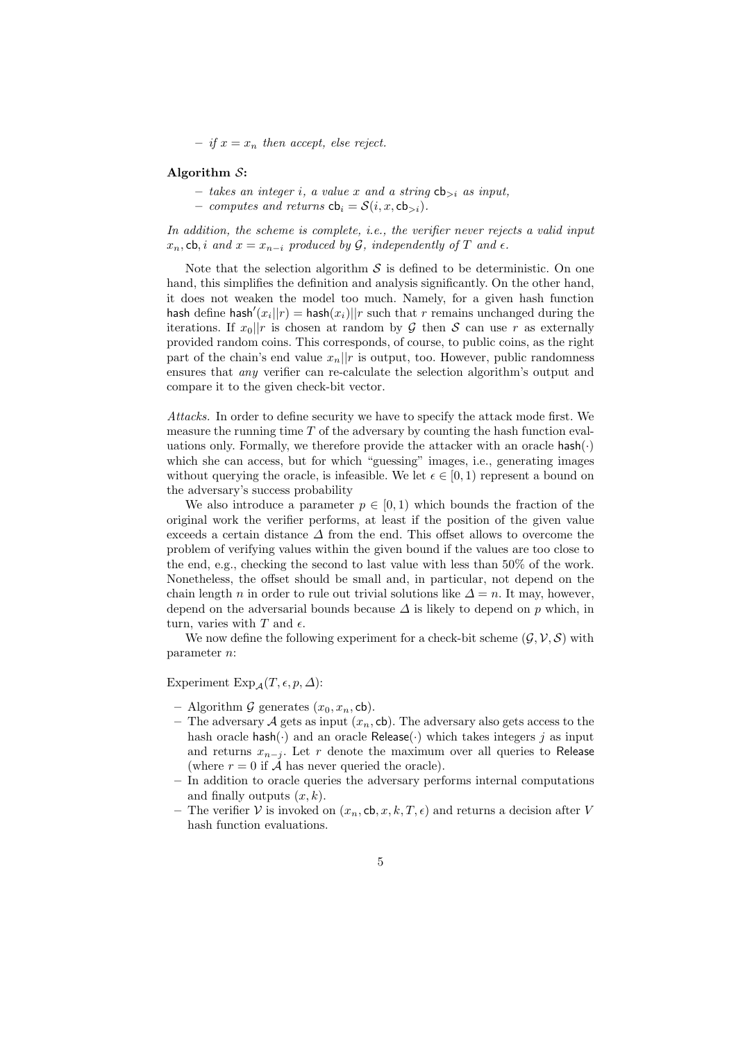– if  $x = x_n$  then accept, else reject.

#### Algorithm S:

- takes an integer i, a value x and a string  $\mathsf{cb}_{>i}$  as input,
- computes and returns  $cb_i = S(i, x, cb_{>i}).$

In addition, the scheme is complete, i.e., the verifier never rejects a valid input  $x_n$ , cb, i and  $x = x_{n-i}$  produced by G, independently of T and  $\epsilon$ .

Note that the selection algorithm  $S$  is defined to be deterministic. On one hand, this simplifies the definition and analysis significantly. On the other hand, it does not weaken the model too much. Namely, for a given hash function hash define hash' $(x_i||r) =$  hash $(x_i)||r$  such that r remains unchanged during the iterations. If  $x_0||r$  is chosen at random by  $\mathcal G$  then  $\mathcal S$  can use r as externally provided random coins. This corresponds, of course, to public coins, as the right part of the chain's end value  $x_n||r$  is output, too. However, public randomness ensures that any verifier can re-calculate the selection algorithm's output and compare it to the given check-bit vector.

Attacks. In order to define security we have to specify the attack mode first. We measure the running time  $T$  of the adversary by counting the hash function evaluations only. Formally, we therefore provide the attacker with an oracle  $\mathsf{hash}(\cdot)$ which she can access, but for which "guessing" images, i.e., generating images without querying the oracle, is infeasible. We let  $\epsilon \in [0,1)$  represent a bound on the adversary's success probability

We also introduce a parameter  $p \in [0,1)$  which bounds the fraction of the original work the verifier performs, at least if the position of the given value exceeds a certain distance  $\Delta$  from the end. This offset allows to overcome the problem of verifying values within the given bound if the values are too close to the end, e.g., checking the second to last value with less than 50% of the work. Nonetheless, the offset should be small and, in particular, not depend on the chain length n in order to rule out trivial solutions like  $\Delta = n$ . It may, however, depend on the adversarial bounds because  $\Delta$  is likely to depend on p which, in turn, varies with  $T$  and  $\epsilon$ .

We now define the following experiment for a check-bit scheme  $(\mathcal{G}, \mathcal{V}, \mathcal{S})$  with parameter n:

Experiment  $Exp_{\mathcal{A}}(T, \epsilon, p, \Delta)$ :

- Algorithm G generates  $(x_0, x_n, cb)$ .
- The adversary A gets as input  $(x_n, cb)$ . The adversary also gets access to the hash oracle hash( $\cdot$ ) and an oracle Release( $\cdot$ ) which takes integers j as input and returns  $x_{n-j}$ . Let r denote the maximum over all queries to Release (where  $r = 0$  if A has never queried the oracle).
- In addition to oracle queries the adversary performs internal computations and finally outputs  $(x, k)$ .
- The verifier V is invoked on  $(x_n, \text{cb}, x, k, T, \epsilon)$  and returns a decision after V hash function evaluations.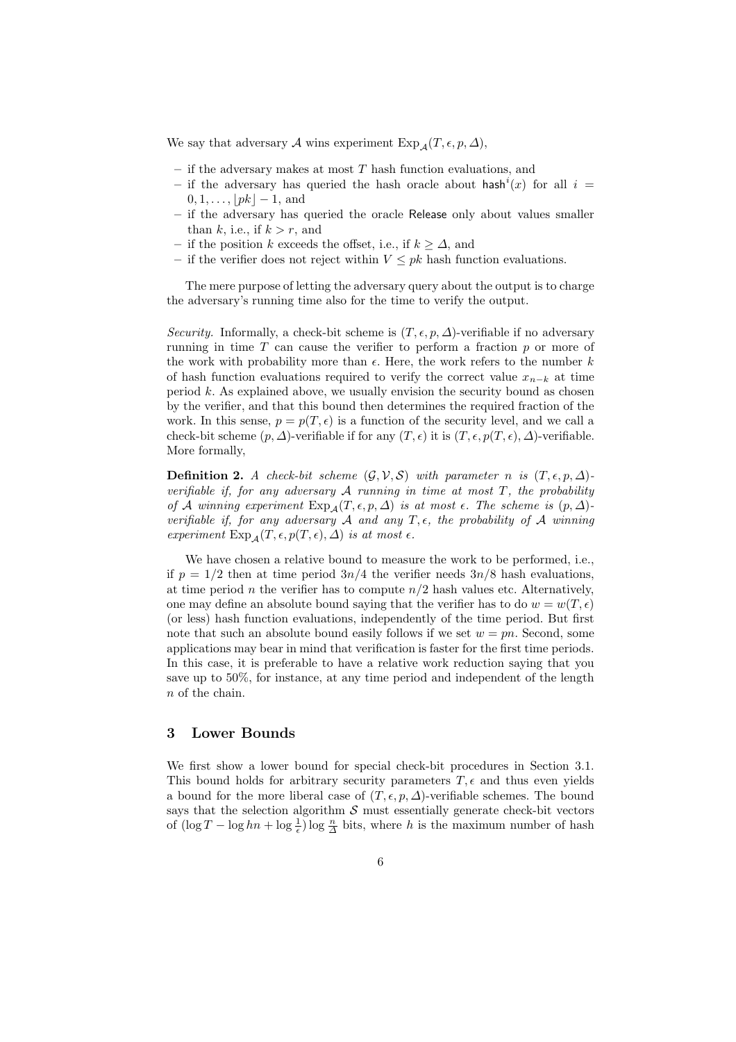We say that adversary A wins experiment Exp<sub>A</sub> $(T, \epsilon, p, \Delta)$ ,

- $-$  if the adversary makes at most  $T$  hash function evaluations, and
- if the adversary has queried the hash oracle about hash<sup>i</sup>(x) for all  $i =$  $0, 1, \ldots, |pk| - 1$ , and
- if the adversary has queried the oracle Release only about values smaller than k, i.e., if  $k > r$ , and
- if the position k exceeds the offset, i.e., if  $k ≥ ∆$ , and
- if the verifier does not reject within  $V \leq pk$  hash function evaluations.

The mere purpose of letting the adversary query about the output is to charge the adversary's running time also for the time to verify the output.

Security. Informally, a check-bit scheme is  $(T, \epsilon, p, \Delta)$ -verifiable if no adversary running in time  $T$  can cause the verifier to perform a fraction  $p$  or more of the work with probability more than  $\epsilon$ . Here, the work refers to the number k of hash function evaluations required to verify the correct value  $x_{n-k}$  at time period  $k$ . As explained above, we usually envision the security bound as chosen by the verifier, and that this bound then determines the required fraction of the work. In this sense,  $p = p(T, \epsilon)$  is a function of the security level, and we call a check-bit scheme  $(p, \Delta)$ -verifiable if for any  $(T, \epsilon)$  it is  $(T, \epsilon, p(T, \epsilon), \Delta)$ -verifiable. More formally,

**Definition 2.** A check-bit scheme  $(\mathcal{G}, \mathcal{V}, \mathcal{S})$  with parameter n is  $(T, \epsilon, p, \Delta)$ verifiable if, for any adversary  $A$  running in time at most  $T$ , the probability of A winning experiment  $Exp_A(T, \epsilon, p, \Delta)$  is at most  $\epsilon$ . The scheme is  $(p, \Delta)$ verifiable if, for any adversary A and any  $T, \epsilon$ , the probability of A winning experiment  $Exp_A(T, \epsilon, p(T, \epsilon), \Delta)$  is at most  $\epsilon$ .

We have chosen a relative bound to measure the work to be performed, i.e., if  $p = 1/2$  then at time period  $3n/4$  the verifier needs  $3n/8$  hash evaluations, at time period *n* the verifier has to compute  $n/2$  hash values etc. Alternatively, one may define an absolute bound saying that the verifier has to do  $w = w(T, \epsilon)$ (or less) hash function evaluations, independently of the time period. But first note that such an absolute bound easily follows if we set  $w = pn$ . Second, some applications may bear in mind that verification is faster for the first time periods. In this case, it is preferable to have a relative work reduction saying that you save up to 50%, for instance, at any time period and independent of the length n of the chain.

### 3 Lower Bounds

We first show a lower bound for special check-bit procedures in Section 3.1. This bound holds for arbitrary security parameters  $T$ ,  $\epsilon$  and thus even yields a bound for the more liberal case of  $(T, \epsilon, p, \Delta)$ -verifiable schemes. The bound says that the selection algorithm  $S$  must essentially generate check-bit vectors of  $(\log T - \log hn + \log \frac{1}{\epsilon}) \log \frac{n}{\Delta}$  bits, where h is the maximum number of hash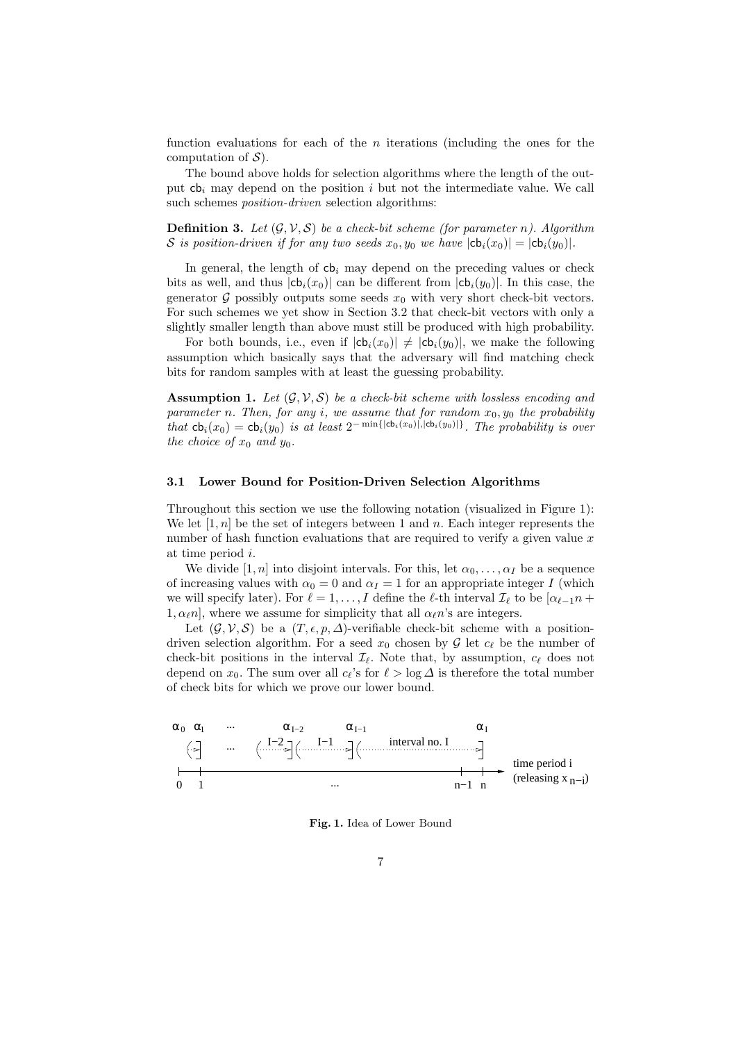function evaluations for each of the  $n$  iterations (including the ones for the computation of  $\mathcal{S}$ ).

The bound above holds for selection algorithms where the length of the output  $cb<sub>i</sub>$  may depend on the position i but not the intermediate value. We call such schemes *position-driven* selection algorithms:

**Definition 3.** Let  $(\mathcal{G}, \mathcal{V}, \mathcal{S})$  be a check-bit scheme (for parameter n). Algorithm S is position-driven if for any two seeds  $x_0, y_0$  we have  $|\text{cb}_i(x_0)| = |\text{cb}_i(y_0)|$ .

In general, the length of  $cb<sub>i</sub>$  may depend on the preceding values or check bits as well, and thus  $|cb_i(x_0)|$  can be different from  $|cb_i(y_0)|$ . In this case, the generator  $\mathcal G$  possibly outputs some seeds  $x_0$  with very short check-bit vectors. For such schemes we yet show in Section 3.2 that check-bit vectors with only a slightly smaller length than above must still be produced with high probability.

For both bounds, i.e., even if  $|\mathsf{cb}_i(x_0)| \neq |\mathsf{cb}_i(y_0)|$ , we make the following assumption which basically says that the adversary will find matching check bits for random samples with at least the guessing probability.

**Assumption 1.** Let  $(G, V, S)$  be a check-bit scheme with lossless encoding and parameter n. Then, for any i, we assume that for random  $x_0, y_0$  the probability that  $\mathsf{cb}_i(x_0) = \mathsf{cb}_i(y_0)$  is at least  $2^{-\min\{|\mathsf{cb}_i(x_0)|, |\mathsf{cb}_i(y_0)|\}}$ . The probability is over the choice of  $x_0$  and  $y_0$ .

#### 3.1 Lower Bound for Position-Driven Selection Algorithms

Throughout this section we use the following notation (visualized in Figure 1): We let  $[1, n]$  be the set of integers between 1 and n. Each integer represents the number of hash function evaluations that are required to verify a given value  $x$ at time period i.

We divide [1, n] into disjoint intervals. For this, let  $\alpha_0, \ldots, \alpha_I$  be a sequence of increasing values with  $\alpha_0 = 0$  and  $\alpha_I = 1$  for an appropriate integer I (which we will specify later). For  $\ell = 1, \ldots, I$  define the  $\ell$ -th interval  $\mathcal{I}_{\ell}$  to be  $[\alpha_{\ell-1}n +$  $1, \alpha_{\ell}n$ , where we assume for simplicity that all  $\alpha_{\ell}n$ 's are integers.

Let  $(\mathcal{G}, \mathcal{V}, \mathcal{S})$  be a  $(T, \epsilon, p, \Delta)$ -verifiable check-bit scheme with a positiondriven selection algorithm. For a seed  $x_0$  chosen by  $\mathcal G$  let  $c_\ell$  be the number of check-bit positions in the interval  $\mathcal{I}_{\ell}$ . Note that, by assumption,  $c_{\ell}$  does not depend on  $x_0$ . The sum over all  $c_{\ell}$ 's for  $\ell > \log \Delta$  is therefore the total number of check bits for which we prove our lower bound.



Fig. 1. Idea of Lower Bound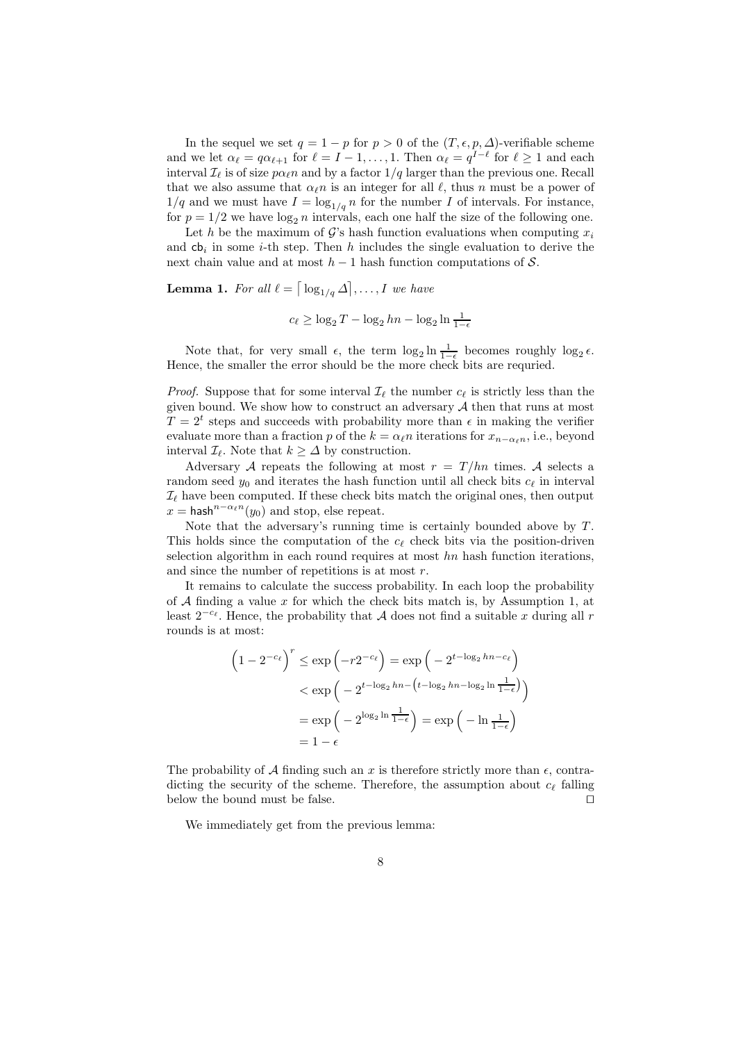In the sequel we set  $q = 1 - p$  for  $p > 0$  of the  $(T, \epsilon, p, \Delta)$ -verifiable scheme and we let  $\alpha_{\ell} = q \alpha_{\ell+1}$  for  $\ell = I - 1, \ldots, 1$ . Then  $\alpha_{\ell} = q^{I-\ell}$  for  $\ell \geq 1$  and each interval  $\mathcal{I}_{\ell}$  is of size  $p\alpha_{\ell}n$  and by a factor  $1/q$  larger than the previous one. Recall that we also assume that  $\alpha_{\ell} n$  is an integer for all  $\ell$ , thus n must be a power of  $1/q$  and we must have  $I = \log_{1/q} n$  for the number I of intervals. For instance, for  $p = 1/2$  we have  $\log_2 n$  intervals, each one half the size of the following one.

Let h be the maximum of G's hash function evaluations when computing  $x_i$ and  $cb_i$  in some *i*-th step. Then *h* includes the single evaluation to derive the next chain value and at most  $h-1$  hash function computations of S.

**Lemma 1.** For all  $\ell = \lceil \log_{1/q} \Delta \rceil, \ldots, I$  we have

 $c_{\ell} \geq \log_2 T - \log_2 hn - \log_2 \ln \frac{1}{1-\epsilon}$ 

Note that, for very small  $\epsilon$ , the term  $\log_2 \ln \frac{1}{1-\epsilon}$  becomes roughly  $\log_2 \epsilon$ . Hence, the smaller the error should be the more check bits are requried.

*Proof.* Suppose that for some interval  $\mathcal{I}_{\ell}$  the number  $c_{\ell}$  is strictly less than the given bound. We show how to construct an adversary  $A$  then that runs at most  $T = 2<sup>t</sup>$  steps and succeeds with probability more than  $\epsilon$  in making the verifier evaluate more than a fraction p of the  $k = \alpha_{\ell} n$  iterations for  $x_{n-\alpha_{\ell} n}$ , i.e., beyond interval  $\mathcal{I}_{\ell}$ . Note that  $k \geq \Delta$  by construction.

Adversary A repeats the following at most  $r = T/hn$  times. A selects a random seed  $y_0$  and iterates the hash function until all check bits  $c_\ell$  in interval  $\mathcal{I}_{\ell}$  have been computed. If these check bits match the original ones, then output  $x = \mathsf{hash}^{n - \alpha_{\ell} n}(y_0)$  and stop, else repeat.

Note that the adversary's running time is certainly bounded above by T. This holds since the computation of the  $c_{\ell}$  check bits via the position-driven selection algorithm in each round requires at most  $hn$  hash function iterations, and since the number of repetitions is at most r.

It remains to calculate the success probability. In each loop the probability of  $A$  finding a value  $x$  for which the check bits match is, by Assumption 1, at least  $2^{-c_{\ell}}$ . Hence, the probability that A does not find a suitable x during all r rounds is at most:

$$
\left(1 - 2^{-c_{\ell}}\right)^{r} \le \exp\left(-r2^{-c_{\ell}}\right) = \exp\left(-2^{t-\log_{2}hn - c_{\ell}}\right)
$$

$$
< \exp\left(-2^{t-\log_{2}hn - \left(t-\log_{2}hn - \log_{2}ln\frac{1}{1-\epsilon}\right)}\right)
$$

$$
= \exp\left(-2^{\log_{2}ln\frac{1}{1-\epsilon}}\right) = \exp\left(-\ln\frac{1}{1-\epsilon}\right)
$$

$$
= 1 - \epsilon
$$

The probability of A finding such an x is therefore strictly more than  $\epsilon$ , contradicting the security of the scheme. Therefore, the assumption about  $c_{\ell}$  falling below the bound must be false.  $\Box$ 

We immediately get from the previous lemma: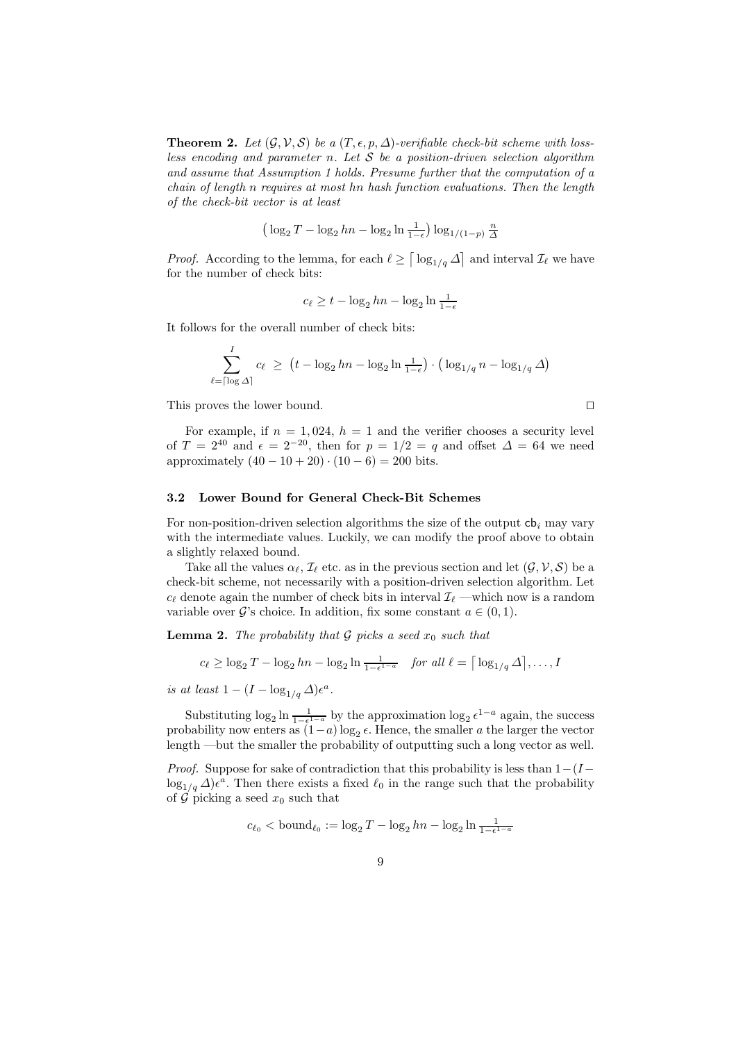**Theorem 2.** Let  $(G, V, S)$  be a  $(T, \epsilon, p, \Delta)$ -verifiable check-bit scheme with lossless encoding and parameter n. Let  $S$  be a position-driven selection algorithm and assume that Assumption 1 holds. Presume further that the computation of a chain of length n requires at most hn hash function evaluations. Then the length of the check-bit vector is at least

$$
\left(\log_2 T - \log_2 hn - \log_2 \ln \frac{1}{1-\epsilon}\right) \log_{1/(1-p)} \frac{n}{\Delta}
$$

*Proof.* According to the lemma, for each  $\ell \geq \lceil \log_{1/q} \Delta \rceil$  and interval  $\mathcal{I}_{\ell}$  we have for the number of check bits:

$$
c_{\ell} \ge t - \log_2 hn - \log_2 \ln \frac{1}{1-\epsilon}
$$

It follows for the overall number of check bits:

$$
\sum_{\ell=\lceil \log \Delta \rceil}^{I} c_{\ell} \ge \left( t - \log_2 hn - \log_2 \ln \frac{1}{1-\epsilon} \right) \cdot \left( \log_{1/q} n - \log_{1/q} \Delta \right)
$$

This proves the lower bound.  $\square$ 

For example, if  $n = 1,024$ ,  $h = 1$  and the verifier chooses a security level of  $T = 2^{40}$  and  $\epsilon = 2^{-20}$ , then for  $p = 1/2 = q$  and offset  $\Delta = 64$  we need approximately  $(40 - 10 + 20) \cdot (10 - 6) = 200$  bits.

### 3.2 Lower Bound for General Check-Bit Schemes

For non-position-driven selection algorithms the size of the output  $cb<sub>i</sub>$  may vary with the intermediate values. Luckily, we can modify the proof above to obtain a slightly relaxed bound.

Take all the values  $\alpha_{\ell}, \mathcal{I}_{\ell}$  etc. as in the previous section and let  $(\mathcal{G}, \mathcal{V}, \mathcal{S})$  be a check-bit scheme, not necessarily with a position-driven selection algorithm. Let  $c_{\ell}$  denote again the number of check bits in interval  $\mathcal{I}_{\ell}$  —which now is a random variable over  $\mathcal{G}$ 's choice. In addition, fix some constant  $a \in (0, 1)$ .

**Lemma 2.** The probability that  $\mathcal G$  picks a seed  $x_0$  such that

$$
c_{\ell} \ge \log_2 T - \log_2 hn - \log_2 \ln \frac{1}{1 - \epsilon^{1 - a}} \quad \text{for all } \ell = \lceil \log_{1/q} \Delta \rceil, \dots, I
$$

is at least  $1 - (I - \log_{1/q} \Delta) \epsilon^a$ .

Substituting  $\log_2 \ln \frac{1}{1-\epsilon^{1-a}}$  by the approximation  $\log_2 \epsilon^{1-a}$  again, the success probability now enters as  $(1-a)\log_2 e$ . Hence, the smaller a the larger the vector length —but the smaller the probability of outputting such a long vector as well.

*Proof.* Suppose for sake of contradiction that this probability is less than  $1-(I \log_{1/q} \Delta$ ) $\epsilon^a$ . Then there exists a fixed  $\ell_0$  in the range such that the probability of  $\mathcal G$  picking a seed  $x_0$  such that

$$
c_{\ell_0} < \text{bound}_{\ell_0} := \log_2 T - \log_2 hn - \log_2 \ln \frac{1}{1 - \epsilon^{1 - a}}
$$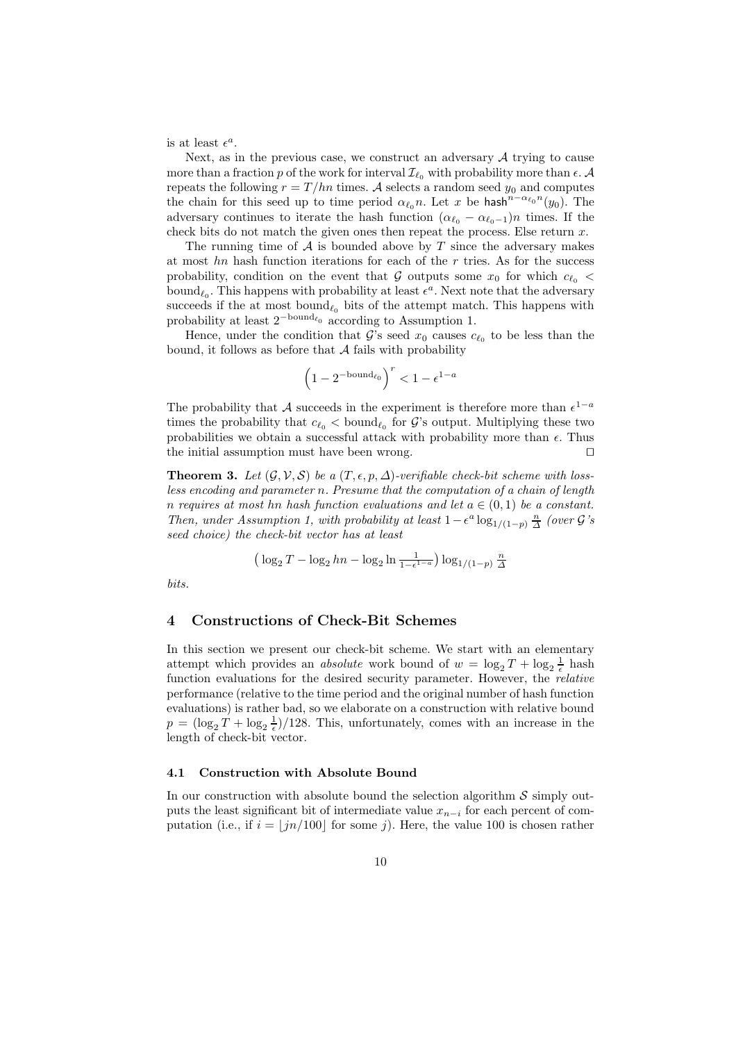is at least  $\epsilon^a$ .

Next, as in the previous case, we construct an adversary  $A$  trying to cause more than a fraction p of the work for interval  $\mathcal{I}_{\ell_0}$  with probability more than  $\epsilon$ . A repeats the following  $r = T/hn$  times. A selects a random seed  $y_0$  and computes the chain for this seed up to time period  $\alpha_{\ell_0} n$ . Let x be hash<sup>n-α<sub> $\ell_0$ </sub>n<sup>'</sup>(y<sub>0</sub>). The</sup> adversary continues to iterate the hash function  $(\alpha_{\ell_0} - \alpha_{\ell_0-1})n$  times. If the check bits do not match the given ones then repeat the process. Else return  $x$ .

The running time of  $\mathcal A$  is bounded above by T since the adversary makes at most  $hn$  hash function iterations for each of the r tries. As for the success probability, condition on the event that G outputs some  $x_0$  for which  $c_{\ell_0}$  < bound<sub> $\ell_0$ </sub>. This happens with probability at least  $\epsilon^a$ . Next note that the adversary succeeds if the at most bound<sub> $\ell_0$ </sub> bits of the attempt match. This happens with probability at least  $2^{-\text{bound}_{\ell_0}}$  according to Assumption 1.

Hence, under the condition that G's seed  $x_0$  causes  $c_{\ell_0}$  to be less than the bound, it follows as before that  $A$  fails with probability

$$
\left(1-2^{-\mathrm{bound}_{\ell_0}}\right)^r<1-\epsilon^{1-a}
$$

The probability that A succeeds in the experiment is therefore more than  $\epsilon^{1-a}$ times the probability that  $c_{\ell_0} <$  bound<sub> $\ell_0$ </sub> for G's output. Multiplying these two probabilities we obtain a successful attack with probability more than  $\epsilon$ . Thus the initial assumption must have been wrong.  $\square$ 

**Theorem 3.** Let  $(\mathcal{G}, \mathcal{V}, \mathcal{S})$  be a  $(T, \epsilon, p, \Delta)$ -verifiable check-bit scheme with lossless encoding and parameter n. Presume that the computation of a chain of length n requires at most hn hash function evaluations and let  $a \in (0,1)$  be a constant. Then, under Assumption 1, with probability at least  $1 - \epsilon^a \log_{1/(1-p)} \frac{n}{\Delta}$  (over  $\mathcal{G}'s$ seed choice) the check-bit vector has at least

$$
\left(\log_2 T - \log_2 hn - \log_2 \ln \frac{1}{1 - \epsilon^{1 - a}}\right) \log_{1/(1-p)} \frac{n}{\Delta}
$$

bits.

### 4 Constructions of Check-Bit Schemes

In this section we present our check-bit scheme. We start with an elementary attempt which provides an *absolute* work bound of  $w = \log_2 T + \log_2 \frac{1}{\epsilon}$  hash function evaluations for the desired security parameter. However, the *relative* performance (relative to the time period and the original number of hash function evaluations) is rather bad, so we elaborate on a construction with relative bound  $p = (\log_2 T + \log_2 \frac{1}{\epsilon})/128$ . This, unfortunately, comes with an increase in the length of check-bit vector.

#### 4.1 Construction with Absolute Bound

In our construction with absolute bound the selection algorithm  $\mathcal S$  simply outputs the least significant bit of intermediate value  $x_{n-i}$  for each percent of computation (i.e., if  $i = \lfloor jn/100 \rfloor$  for some j). Here, the value 100 is chosen rather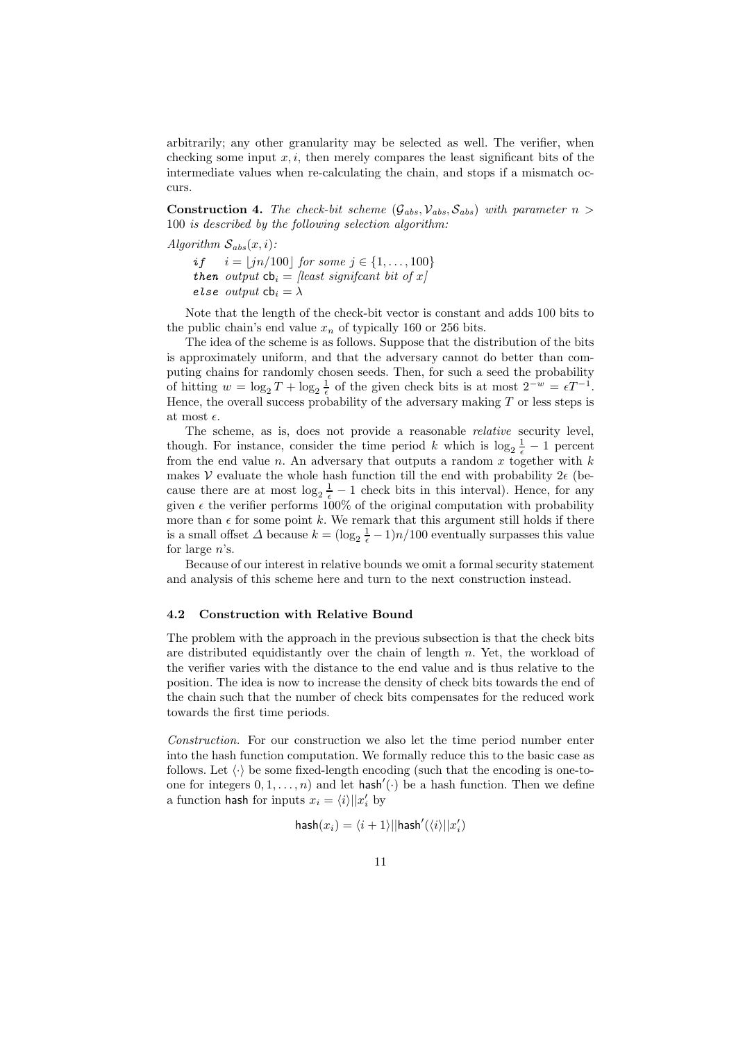arbitrarily; any other granularity may be selected as well. The verifier, when checking some input  $x, i$ , then merely compares the least significant bits of the intermediate values when re-calculating the chain, and stops if a mismatch occurs.

**Construction 4.** The check-bit scheme  $(\mathcal{G}_{abs}, \mathcal{V}_{abs}, \mathcal{S}_{abs})$  with parameter  $n >$ 100 is described by the following selection algorithm:

Algorithm  $S_{abs}(x,i)$ :

if  $i = |j n/100|$  for some  $j \in \{1, ..., 100\}$ then output  $cb_i =$  [least significant bit of x] else output  $cb_i = \lambda$ 

Note that the length of the check-bit vector is constant and adds 100 bits to the public chain's end value  $x_n$  of typically 160 or 256 bits.

The idea of the scheme is as follows. Suppose that the distribution of the bits is approximately uniform, and that the adversary cannot do better than computing chains for randomly chosen seeds. Then, for such a seed the probability of hitting  $w = \log_2 T + \log_2 \frac{1}{\epsilon}$  of the given check bits is at most  $2^{-w} = \epsilon T^{-1}$ . Hence, the overall success probability of the adversary making  $T$  or less steps is at most  $\epsilon$ .

The scheme, as is, does not provide a reasonable relative security level, though. For instance, consider the time period k which is  $\log_2 \frac{1}{\epsilon} - 1$  percent from the end value  $n$ . An adversary that outputs a random  $x$  together with  $k$ makes V evaluate the whole hash function till the end with probability  $2\epsilon$  (because there are at most  $\log_2 \frac{1}{\epsilon} - 1$  check bits in this interval). Hence, for any given  $\epsilon$  the verifier performs 100% of the original computation with probability more than  $\epsilon$  for some point k. We remark that this argument still holds if there is a small offset  $\Delta$  because  $k = (\log_2 \frac{1}{\epsilon} - 1)n/100$  eventually surpasses this value for large  $n$ 's.

Because of our interest in relative bounds we omit a formal security statement and analysis of this scheme here and turn to the next construction instead.

### 4.2 Construction with Relative Bound

The problem with the approach in the previous subsection is that the check bits are distributed equidistantly over the chain of length  $n$ . Yet, the workload of the verifier varies with the distance to the end value and is thus relative to the position. The idea is now to increase the density of check bits towards the end of the chain such that the number of check bits compensates for the reduced work towards the first time periods.

Construction. For our construction we also let the time period number enter into the hash function computation. We formally reduce this to the basic case as follows. Let  $\langle \cdot \rangle$  be some fixed-length encoding (such that the encoding is one-toone for integers  $0, 1, \ldots, n$  and let hash'( $\cdot$ ) be a hash function. Then we define a function hash for inputs  $x_i = \langle i \rangle ||x'_i|$  by

$$
\mathsf{hash}(x_i) = \langle i+1 \rangle ||\mathsf{hash}'(\langle i \rangle || x_i')
$$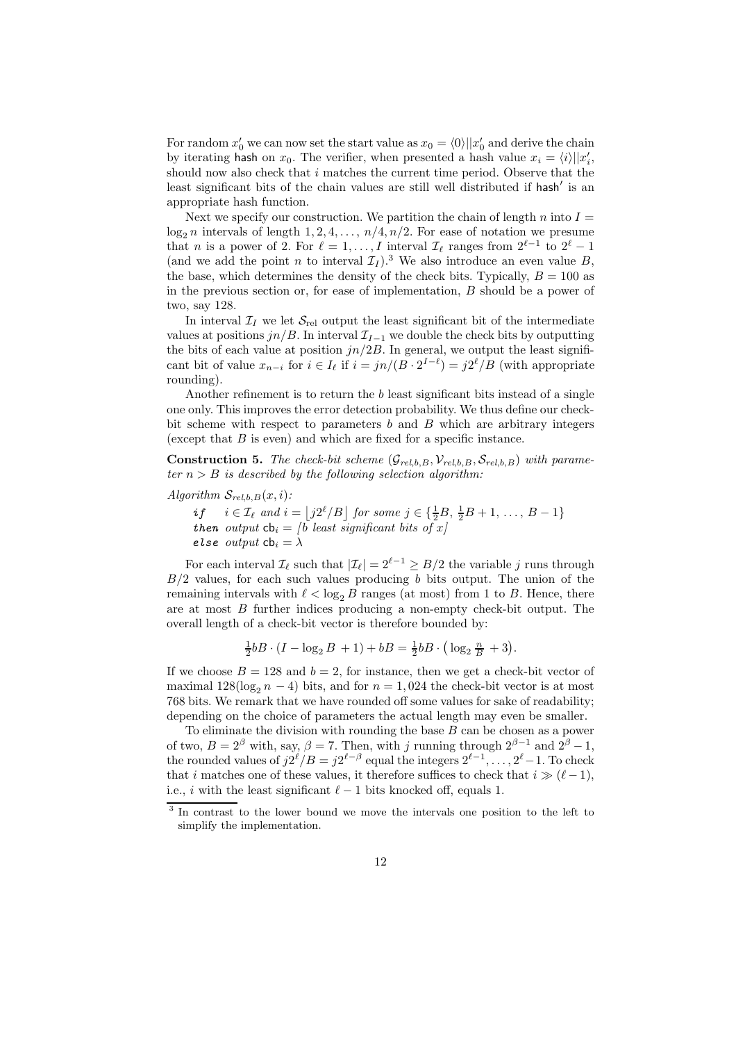For random  $x'_0$  we can now set the start value as  $x_0 = \langle 0 \rangle ||x'_0$  and derive the chain by iterating hash on  $x_0$ . The verifier, when presented a hash value  $x_i = \langle i \rangle ||x'_i,$ should now also check that  $i$  matches the current time period. Observe that the least significant bits of the chain values are still well distributed if hash' is an appropriate hash function.

Next we specify our construction. We partition the chain of length n into  $I =$  $\log_2 n$  intervals of length  $1, 2, 4, \ldots, n/4, n/2$ . For ease of notation we presume that *n* is a power of 2. For  $\ell = 1, \ldots, I$  interval  $\mathcal{I}_{\ell}$  ranges from  $2^{\ell-1}$  to  $2^{\ell} - 1$ (and we add the point n to interval  $\mathcal{I}_I$ ).<sup>3</sup> We also introduce an even value B, the base, which determines the density of the check bits. Typically,  $B = 100$  as in the previous section or, for ease of implementation, B should be a power of two, say 128.

In interval  $\mathcal{I}_I$  we let  $\mathcal{S}_{rel}$  output the least significant bit of the intermediate values at positions  $jn/B$ . In interval  $\mathcal{I}_{I-1}$  we double the check bits by outputting the bits of each value at position  $jn/2B$ . In general, we output the least significant bit of value  $x_{n-i}$  for  $i \in I_\ell$  if  $i = jn/(B \cdot 2^{I-\ell}) = j2^\ell/B$  (with appropriate rounding).

Another refinement is to return the b least significant bits instead of a single one only. This improves the error detection probability. We thus define our checkbit scheme with respect to parameters  $b$  and  $B$  which are arbitrary integers (except that  $B$  is even) and which are fixed for a specific instance.

**Construction 5.** The check-bit scheme  $(\mathcal{G}_{rel,b,B}, \mathcal{V}_{rel,b,B}, \mathcal{S}_{rel,b,B})$  with parameter  $n > B$  is described by the following selection algorithm:

Algorithm  $S_{rel,b,B}(x,i)$ :

if  $i \in \mathcal{I}_{\ell}$  and  $i = \lfloor j2^{\ell}/B \rfloor$  for some  $j \in \{\frac{1}{2}B, \frac{1}{2}B + 1, \ldots, B - 1\}$ then output  $cb_i = \begin{bmatrix} b \end{bmatrix}$  least significant bits of x else output  $cb_i = \lambda$ 

For each interval  $\mathcal{I}_{\ell}$  such that  $|\mathcal{I}_{\ell}| = 2^{\ell-1} \geq B/2$  the variable j runs through  $B/2$  values, for each such values producing b bits output. The union of the remaining intervals with  $\ell < \log_2 B$  ranges (at most) from 1 to B. Hence, there are at most  $B$  further indices producing a non-empty check-bit output. The overall length of a check-bit vector is therefore bounded by:

$$
\frac{1}{2}bB \cdot (I - \log_2 B + 1) + bB = \frac{1}{2}bB \cdot (\log_2 \frac{n}{B} + 3).
$$

If we choose  $B = 128$  and  $b = 2$ , for instance, then we get a check-bit vector of maximal  $128(\log_2 n - 4)$  bits, and for  $n = 1,024$  the check-bit vector is at most 768 bits. We remark that we have rounded off some values for sake of readability; depending on the choice of parameters the actual length may even be smaller.

To eliminate the division with rounding the base  $B$  can be chosen as a power of two,  $B = 2^{\beta}$  with, say,  $\beta = 7$ . Then, with j running through  $2^{\beta - 1}$  and  $2^{\beta} - 1$ , the rounded values of  $j2^{\ell}/B = j2^{\ell-\beta}$  equal the integers  $2^{\ell-1}, \ldots, 2^{\ell}-1$ . To check that i matches one of these values, it therefore suffices to check that  $i \gg (\ell - 1)$ , i.e., i with the least significant  $\ell - 1$  bits knocked off, equals 1.

<sup>&</sup>lt;sup>3</sup> In contrast to the lower bound we move the intervals one position to the left to simplify the implementation.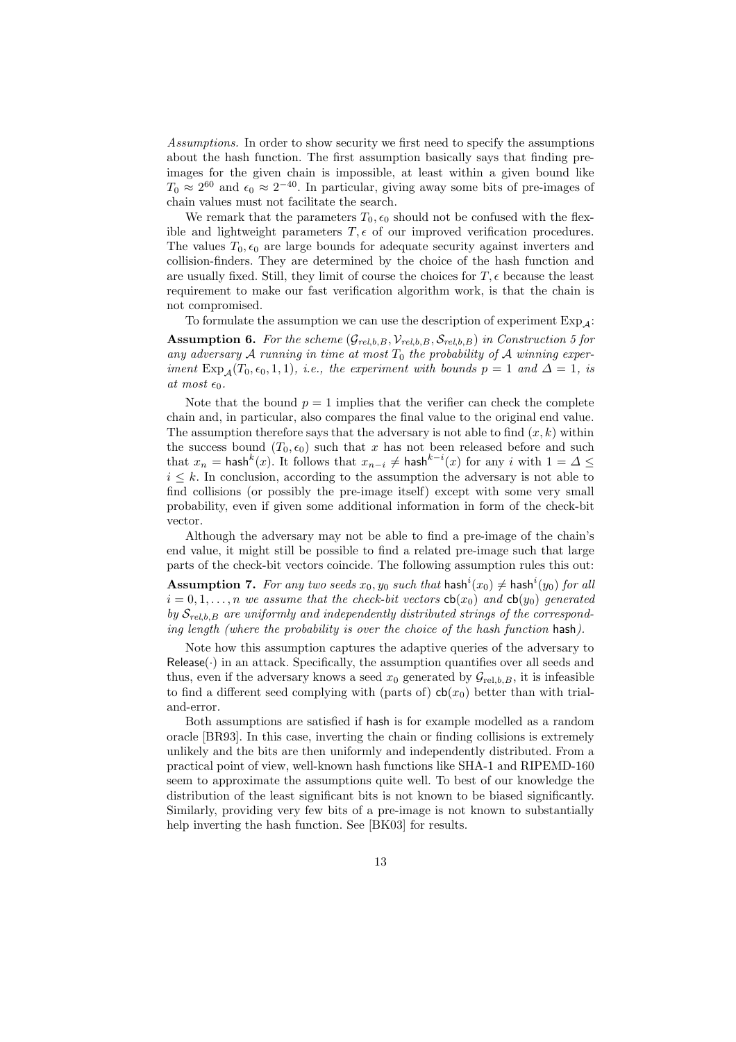Assumptions. In order to show security we first need to specify the assumptions about the hash function. The first assumption basically says that finding preimages for the given chain is impossible, at least within a given bound like  $T_0 \approx 2^{60}$  and  $\epsilon_0 \approx 2^{-40}$ . In particular, giving away some bits of pre-images of chain values must not facilitate the search.

We remark that the parameters  $T_0$ ,  $\epsilon_0$  should not be confused with the flexible and lightweight parameters  $T, \epsilon$  of our improved verification procedures. The values  $T_0$ ,  $\epsilon_0$  are large bounds for adequate security against inverters and collision-finders. They are determined by the choice of the hash function and are usually fixed. Still, they limit of course the choices for  $T, \epsilon$  because the least requirement to make our fast verification algorithm work, is that the chain is not compromised.

To formulate the assumption we can use the description of experiment  $Exp_4$ : **Assumption 6.** For the scheme  $(\mathcal{G}_{rel,b,B}, \mathcal{V}_{rel,b,B}, \mathcal{S}_{rel,b,B})$  in Construction 5 for any adversary  $A$  running in time at most  $T_0$  the probability of  $A$  winning experiment  $Exp_{\mathcal{A}}(T_0, \epsilon_0, 1, 1),$  i.e., the experiment with bounds  $p = 1$  and  $\Delta = 1$ , is at most  $\epsilon_0$ .

Note that the bound  $p = 1$  implies that the verifier can check the complete chain and, in particular, also compares the final value to the original end value. The assumption therefore says that the adversary is not able to find  $(x, k)$  within the success bound  $(T_0, \epsilon_0)$  such that x has not been released before and such that  $x_n = \mathsf{hash}^k(x)$ . It follows that  $x_{n-i} \neq \mathsf{hash}^{k-i}(x)$  for any  $i$  with  $1 = \Delta \leq$  $i \leq k$ . In conclusion, according to the assumption the adversary is not able to find collisions (or possibly the pre-image itself) except with some very small probability, even if given some additional information in form of the check-bit vector.

Although the adversary may not be able to find a pre-image of the chain's end value, it might still be possible to find a related pre-image such that large parts of the check-bit vectors coincide. The following assumption rules this out:

**Assumption 7.** For any two seeds  $x_0, y_0$  such that  $\textsf{hash}^i(x_0) \neq \textsf{hash}^i(y_0)$  for all  $i = 0, 1, \ldots, n$  we assume that the check-bit vectors  $cb(x_0)$  and  $cb(y_0)$  generated by  $S_{rel,b,B}$  are uniformly and independently distributed strings of the corresponding length (where the probability is over the choice of the hash function hash).

Note how this assumption captures the adaptive queries of the adversary to  $Release()$  in an attack. Specifically, the assumption quantifies over all seeds and thus, even if the adversary knows a seed  $x_0$  generated by  $\mathcal{G}_{rel,b,B}$ , it is infeasible to find a different seed complying with (parts of)  $cb(x_0)$  better than with trialand-error.

Both assumptions are satisfied if hash is for example modelled as a random oracle [BR93]. In this case, inverting the chain or finding collisions is extremely unlikely and the bits are then uniformly and independently distributed. From a practical point of view, well-known hash functions like SHA-1 and RIPEMD-160 seem to approximate the assumptions quite well. To best of our knowledge the distribution of the least significant bits is not known to be biased significantly. Similarly, providing very few bits of a pre-image is not known to substantially help inverting the hash function. See [BK03] for results.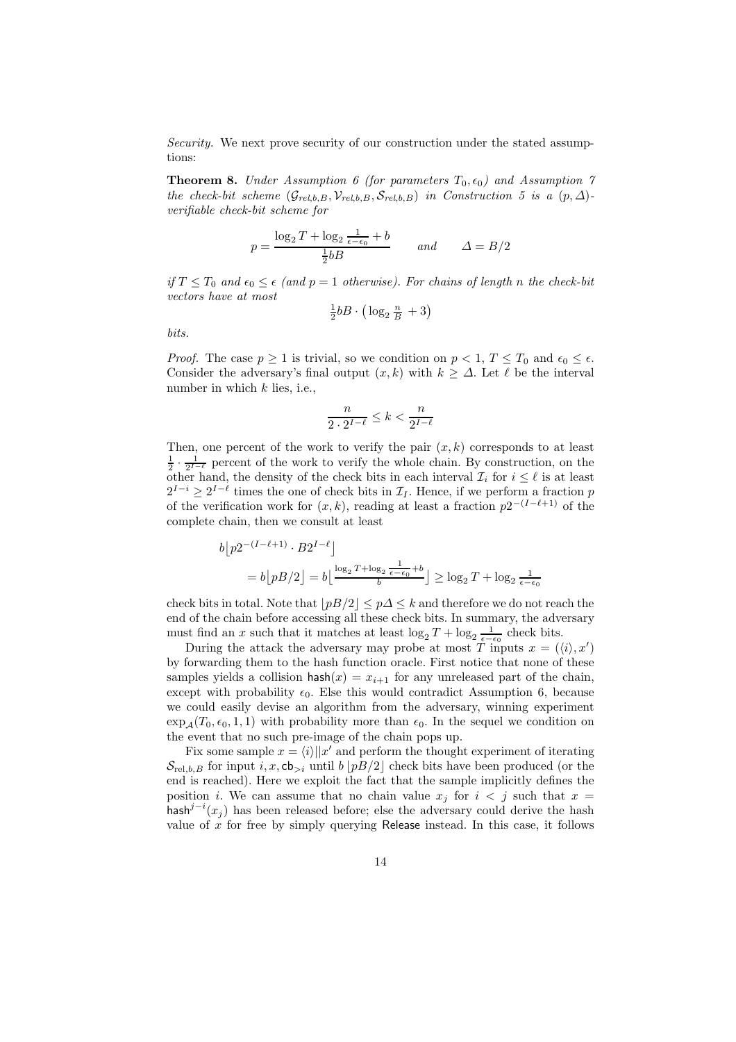Security. We next prove security of our construction under the stated assumptions:

**Theorem 8.** Under Assumption 6 (for parameters  $T_0$ ,  $\epsilon_0$ ) and Assumption 7 the check-bit scheme  $(\mathcal{G}_{rel,b,B}, \mathcal{V}_{rel,b,B}, \mathcal{S}_{rel,b,B})$  in Construction 5 is a  $(p, \Delta)$ verifiable check-bit scheme for

$$
p = \frac{\log_2 T + \log_2 \frac{1}{\epsilon - \epsilon_0} + b}{\frac{1}{2}bB} \quad \text{and} \quad \Delta = B/2
$$

if  $T \leq T_0$  and  $\epsilon_0 \leq \epsilon$  (and  $p = 1$  otherwise). For chains of length n the check-bit vectors have at most

$$
\frac{1}{2}bB \cdot \left(\log_2 \frac{n}{B} + 3\right)
$$

bits.

*Proof.* The case  $p \ge 1$  is trivial, so we condition on  $p < 1$ ,  $T \le T_0$  and  $\epsilon_0 \le \epsilon$ . Consider the adversary's final output  $(x, k)$  with  $k > \Delta$ . Let  $\ell$  be the interval number in which  $k$  lies, i.e.,

$$
\frac{n}{2\cdot 2^{I-\ell}}\leq k<\frac{n}{2^{I-\ell}}
$$

Then, one percent of the work to verify the pair  $(x, k)$  corresponds to at least  $\frac{1}{2} \cdot \frac{1}{2^{I-\ell}}$  percent of the work to verify the whole chain. By construction, on the other hand, the density of the check bits in each interval  $\mathcal{I}_i$  for  $i \leq \ell$  is at least  $2^{I-i}$  ≥  $2^{I-\ell}$  times the one of check bits in  $\mathcal{I}_I$ . Hence, if we perform a fraction p of the verification work for  $(x, k)$ , reading at least a fraction  $p2^{-(I-\ell+1)}$  of the complete chain, then we consult at least

$$
b[p2^{-(I-\ell+1)} \cdot B2^{I-\ell}]
$$
  
= 
$$
b[pB/2] = b\left\lfloor \frac{\log_2 T + \log_2 \frac{1}{\epsilon - \epsilon_0} + b}{b} \right\rfloor \ge \log_2 T + \log_2 \frac{1}{\epsilon - \epsilon_0}
$$

check bits in total. Note that  $|pB/2| < p\Delta \le k$  and therefore we do not reach the end of the chain before accessing all these check bits. In summary, the adversary must find an x such that it matches at least  $\log_2 T + \log_2 \frac{1}{\epsilon - \epsilon_0}$  check bits.

During the attack the adversary may probe at most  $\overline{T}$  inputs  $x = (\langle i \rangle, x')$ by forwarding them to the hash function oracle. First notice that none of these samples yields a collision hash $(x) = x_{i+1}$  for any unreleased part of the chain, except with probability  $\epsilon_0$ . Else this would contradict Assumption 6, because we could easily devise an algorithm from the adversary, winning experiment  $\exp_{A}(T_0, \epsilon_0, 1, 1)$  with probability more than  $\epsilon_0$ . In the sequel we condition on the event that no such pre-image of the chain pops up.

Fix some sample  $x = \langle i \rangle ||x'$  and perform the thought experiment of iterating  $\mathcal{S}_{\text{rel},b,B}$  for input i, x, cb<sub>>i</sub> until b |pB/2| check bits have been produced (or the end is reached). Here we exploit the fact that the sample implicitly defines the position *i*. We can assume that no chain value  $x_j$  for  $i < j$  such that  $x =$ hash<sup>j-i</sup>(x<sub>j</sub>) has been released before; else the adversary could derive the hash value of x for free by simply querying Release instead. In this case, it follows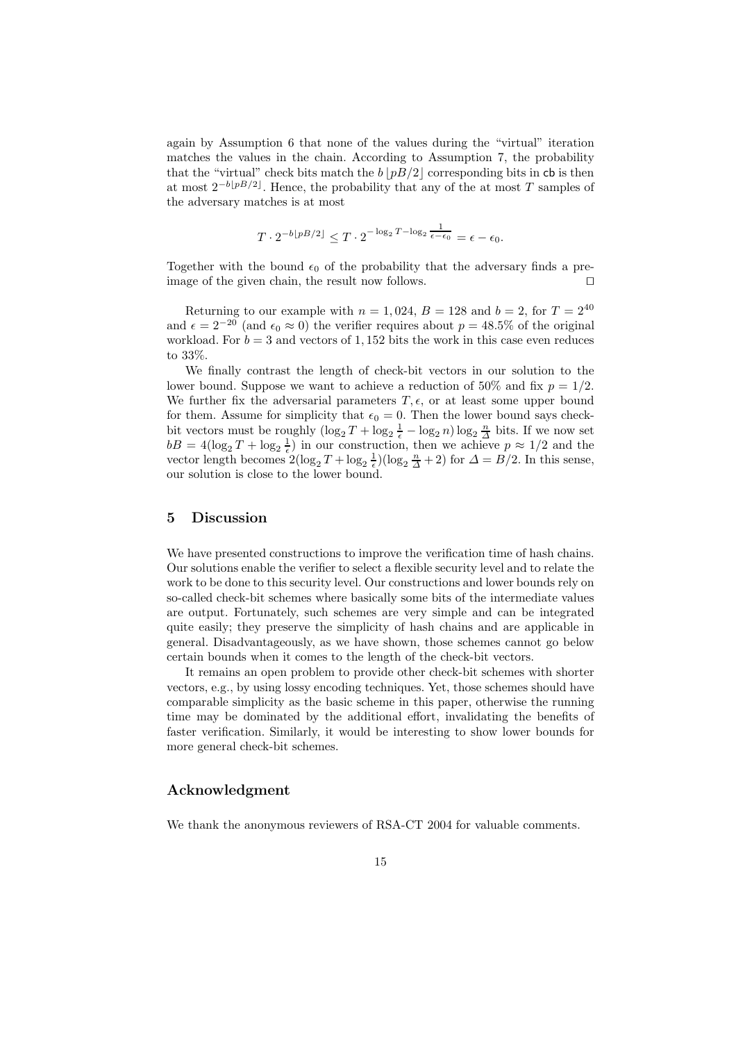again by Assumption 6 that none of the values during the "virtual" iteration matches the values in the chain. According to Assumption 7, the probability that the "virtual" check bits match the  $b |p B/2|$  corresponding bits in cb is then at most  $2^{-b\lfloor pB/2\rfloor}$ . Hence, the probability that any of the at most T samples of the adversary matches is at most

$$
T \cdot 2^{-b \lfloor pB/2 \rfloor} \le T \cdot 2^{-\log_2 T - \log_2 \frac{1}{\epsilon - \epsilon_0}} = \epsilon - \epsilon_0.
$$

Together with the bound  $\epsilon_0$  of the probability that the adversary finds a preimage of the given chain, the result now follows.  $\square$ 

Returning to our example with  $n = 1,024, B = 128$  and  $b = 2$ , for  $T = 2^{40}$ and  $\epsilon = 2^{-20}$  (and  $\epsilon_0 \approx 0$ ) the verifier requires about  $p = 48.5\%$  of the original workload. For  $b = 3$  and vectors of 1, 152 bits the work in this case even reduces to 33%.

We finally contrast the length of check-bit vectors in our solution to the lower bound. Suppose we want to achieve a reduction of 50% and fix  $p = 1/2$ . We further fix the adversarial parameters  $T, \epsilon$ , or at least some upper bound for them. Assume for simplicity that  $\epsilon_0 = 0$ . Then the lower bound says checkbit vectors must be roughly  $(\log_2 T + \log_2 \frac{1}{\epsilon} - \log_2 n) \log_2 \frac{n}{\Delta}$  bits. If we now set  $bB = 4(\log_2 T + \log_2 \frac{1}{\epsilon})$  in our construction, then we achieve  $p \approx 1/2$  and the vector length becomes  $2(\log_2 T + \log_2 \frac{1}{\epsilon})(\log_2 \frac{n}{\Delta} + 2)$  for  $\Delta = B/2$ . In this sense, our solution is close to the lower bound.

### 5 Discussion

We have presented constructions to improve the verification time of hash chains. Our solutions enable the verifier to select a flexible security level and to relate the work to be done to this security level. Our constructions and lower bounds rely on so-called check-bit schemes where basically some bits of the intermediate values are output. Fortunately, such schemes are very simple and can be integrated quite easily; they preserve the simplicity of hash chains and are applicable in general. Disadvantageously, as we have shown, those schemes cannot go below certain bounds when it comes to the length of the check-bit vectors.

It remains an open problem to provide other check-bit schemes with shorter vectors, e.g., by using lossy encoding techniques. Yet, those schemes should have comparable simplicity as the basic scheme in this paper, otherwise the running time may be dominated by the additional effort, invalidating the benefits of faster verification. Similarly, it would be interesting to show lower bounds for more general check-bit schemes.

### Acknowledgment

We thank the anonymous reviewers of RSA-CT 2004 for valuable comments.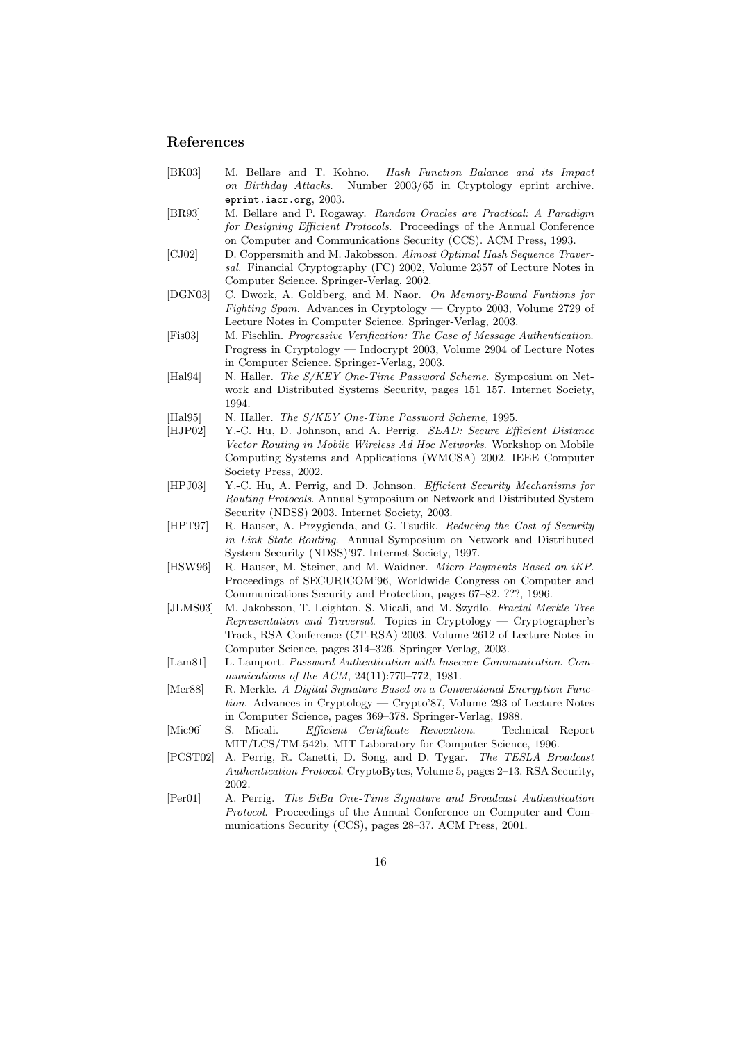#### References

- [BK03] M. Bellare and T. Kohno. Hash Function Balance and its Impact on Birthday Attacks. Number 2003/65 in Cryptology eprint archive. eprint.iacr.org, 2003.
- [BR93] M. Bellare and P. Rogaway. Random Oracles are Practical: A Paradigm for Designing Efficient Protocols. Proceedings of the Annual Conference on Computer and Communications Security (CCS). ACM Press, 1993.
- [CJ02] D. Coppersmith and M. Jakobsson. Almost Optimal Hash Sequence Traversal. Financial Cryptography (FC) 2002, Volume 2357 of Lecture Notes in Computer Science. Springer-Verlag, 2002.
- [DGN03] C. Dwork, A. Goldberg, and M. Naor. On Memory-Bound Funtions for Fighting Spam. Advances in Cryptology — Crypto 2003, Volume 2729 of Lecture Notes in Computer Science. Springer-Verlag, 2003.
- [Fis03] M. Fischlin. Progressive Verification: The Case of Message Authentication. Progress in Cryptology — Indocrypt 2003, Volume 2904 of Lecture Notes in Computer Science. Springer-Verlag, 2003.
- [Hal94] N. Haller. The S/KEY One-Time Password Scheme. Symposium on Network and Distributed Systems Security, pages 151–157. Internet Society, 1994.
- [Hal95] N. Haller. The S/KEY One-Time Password Scheme, 1995.
- [HJP02] Y.-C. Hu, D. Johnson, and A. Perrig. SEAD: Secure Efficient Distance Vector Routing in Mobile Wireless Ad Hoc Networks. Workshop on Mobile Computing Systems and Applications (WMCSA) 2002. IEEE Computer Society Press, 2002.
- [HPJ03] Y.-C. Hu, A. Perrig, and D. Johnson. Efficient Security Mechanisms for Routing Protocols. Annual Symposium on Network and Distributed System Security (NDSS) 2003. Internet Society, 2003.
- [HPT97] R. Hauser, A. Przygienda, and G. Tsudik. Reducing the Cost of Security in Link State Routing. Annual Symposium on Network and Distributed System Security (NDSS)'97. Internet Society, 1997.
- [HSW96] R. Hauser, M. Steiner, and M. Waidner. *Micro-Payments Based on iKP*. Proceedings of SECURICOM'96, Worldwide Congress on Computer and Communications Security and Protection, pages 67–82. ???, 1996.
- [JLMS03] M. Jakobsson, T. Leighton, S. Micali, and M. Szydlo. Fractal Merkle Tree Representation and Traversal. Topics in Cryptology — Cryptographer's Track, RSA Conference (CT-RSA) 2003, Volume 2612 of Lecture Notes in Computer Science, pages 314–326. Springer-Verlag, 2003.
- [Lam81] L. Lamport. Password Authentication with Insecure Communication. Communications of the ACM, 24(11):770–772, 1981.
- [Mer88] R. Merkle. A Digital Signature Based on a Conventional Encryption Function. Advances in Cryptology — Crypto'87, Volume 293 of Lecture Notes in Computer Science, pages 369–378. Springer-Verlag, 1988.
- [Mic96] S. Micali. Efficient Certificate Revocation. Technical Report MIT/LCS/TM-542b, MIT Laboratory for Computer Science, 1996.
- [PCST02] A. Perrig, R. Canetti, D. Song, and D. Tygar. The TESLA Broadcast Authentication Protocol. CryptoBytes, Volume 5, pages 2–13. RSA Security, 2002.
- [Per01] A. Perrig. The BiBa One-Time Signature and Broadcast Authentication Protocol. Proceedings of the Annual Conference on Computer and Communications Security (CCS), pages 28–37. ACM Press, 2001.